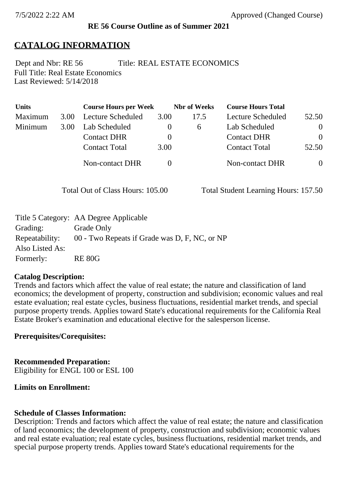## **RE 56 Course Outline as of Summer 2021**

## **CATALOG INFORMATION**

Full Title: Real Estate Economics Last Reviewed: 5/14/2018 Dept and Nbr: RE 56 Title: REAL ESTATE ECONOMICS

| <b>Units</b> |      | <b>Course Hours per Week</b> |          | <b>Nbr</b> of Weeks | <b>Course Hours Total</b> |                |
|--------------|------|------------------------------|----------|---------------------|---------------------------|----------------|
| Maximum      | 3.00 | Lecture Scheduled            | 3.00     | 17.5                | Lecture Scheduled         | 52.50          |
| Minimum      | 3.00 | Lab Scheduled                | $\bf{0}$ | $\sigma$            | Lab Scheduled             | $\overline{0}$ |
|              |      | <b>Contact DHR</b>           |          |                     | <b>Contact DHR</b>        | $\Omega$       |
|              |      | <b>Contact Total</b>         | 3.00     |                     | <b>Contact Total</b>      | 52.50          |
|              |      | Non-contact DHR              |          |                     | <b>Non-contact DHR</b>    | $\overline{0}$ |

Total Out of Class Hours: 105.00 Total Student Learning Hours: 157.50

|                 | Title 5 Category: AA Degree Applicable        |
|-----------------|-----------------------------------------------|
| Grading:        | Grade Only                                    |
| Repeatability:  | 00 - Two Repeats if Grade was D, F, NC, or NP |
| Also Listed As: |                                               |
| Formerly:       | <b>RE 80G</b>                                 |

### **Catalog Description:**

Trends and factors which affect the value of real estate; the nature and classification of land economics; the development of property, construction and subdivision; economic values and real estate evaluation; real estate cycles, business fluctuations, residential market trends, and special purpose property trends. Applies toward State's educational requirements for the California Real Estate Broker's examination and educational elective for the salesperson license.

## **Prerequisites/Corequisites:**

### **Recommended Preparation:**

Eligibility for ENGL 100 or ESL 100

## **Limits on Enrollment:**

### **Schedule of Classes Information:**

Description: Trends and factors which affect the value of real estate; the nature and classification of land economics; the development of property, construction and subdivision; economic values and real estate evaluation; real estate cycles, business fluctuations, residential market trends, and special purpose property trends. Applies toward State's educational requirements for the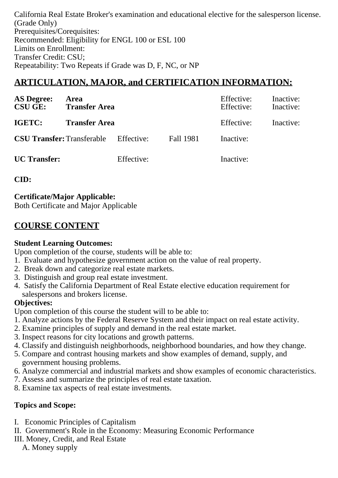California Real Estate Broker's examination and educational elective for the salesperson license. (Grade Only) Prerequisites/Corequisites: Recommended: Eligibility for ENGL 100 or ESL 100 Limits on Enrollment: Transfer Credit: CSU; Repeatability: Two Repeats if Grade was D, F, NC, or NP

# **ARTICULATION, MAJOR, and CERTIFICATION INFORMATION:**

| <b>AS Degree:</b><br><b>CSU GE:</b> | Area<br><b>Transfer Area</b> |            |                  | Effective:<br>Effective: | Inactive:<br>Inactive: |
|-------------------------------------|------------------------------|------------|------------------|--------------------------|------------------------|
| IGETC:                              | <b>Transfer Area</b>         |            |                  | Effective:               | Inactive:              |
| <b>CSU Transfer:</b> Transferable   |                              | Effective: | <b>Fall 1981</b> | Inactive:                |                        |
| <b>UC</b> Transfer:                 |                              | Effective: |                  | Inactive:                |                        |

**CID:**

**Certificate/Major Applicable:** 

[Both Certificate and Major Applicable](SR_ClassCheck.aspx?CourseKey=RE56)

# **COURSE CONTENT**

## **Student Learning Outcomes:**

Upon completion of the course, students will be able to:

- 1. Evaluate and hypothesize government action on the value of real property.
- 2. Break down and categorize real estate markets.
- 3. Distinguish and group real estate investment.
- 4. Satisfy the California Department of Real Estate elective education requirement for salespersons and brokers license.

## **Objectives:**

Upon completion of this course the student will to be able to:

- 1. Analyze actions by the Federal Reserve System and their impact on real estate activity.
- 2. Examine principles of supply and demand in the real estate market.
- 3. Inspect reasons for city locations and growth patterns.
- 4. Classify and distinguish neighborhoods, neighborhood boundaries, and how they change.
- 5. Compare and contrast housing markets and show examples of demand, supply, and government housing problems.
- 6. Analyze commercial and industrial markets and show examples of economic characteristics.
- 7. Assess and summarize the principles of real estate taxation.
- 8. Examine tax aspects of real estate investments.

## **Topics and Scope:**

- I. Economic Principles of Capitalism
- II. Government's Role in the Economy: Measuring Economic Performance
- III. Money, Credit, and Real Estate
	- A. Money supply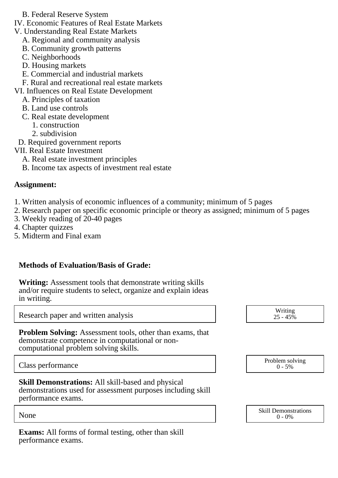- B. Federal Reserve System
- IV. Economic Features of Real Estate Markets
- V. Understanding Real Estate Markets
	- A. Regional and community analysis
	- B. Community growth patterns
	- C. Neighborhoods
	- D. Housing markets
	- E. Commercial and industrial markets
	- F. Rural and recreational real estate markets

VI. Influences on Real Estate Development

- A. Principles of taxation
- B. Land use controls
- C. Real estate development
	- 1. construction
	- 2. subdivision
- D. Required government reports
- VII. Real Estate Investment
	- A. Real estate investment principles
	- B. Income tax aspects of investment real estate

## **Assignment:**

- 1. Written analysis of economic influences of a community; minimum of 5 pages
- 2. Research paper on specific economic principle or theory as assigned; minimum of 5 pages
- 3. Weekly reading of 20-40 pages
- 4. Chapter quizzes
- 5. Midterm and Final exam

## **Methods of Evaluation/Basis of Grade:**

**Writing:** Assessment tools that demonstrate writing skills and/or require students to select, organize and explain ideas in writing.

Research paper and written analysis

**Problem Solving:** Assessment tools, other than exams, that demonstrate competence in computational or noncomputational problem solving skills.

Class performance

**Skill Demonstrations:** All skill-based and physical demonstrations used for assessment purposes including skill performance exams.

**Exams:** All forms of formal testing, other than skill performance exams.

| Writing<br>$25 - 45\%$      |  |
|-----------------------------|--|
|                             |  |
|                             |  |
| Problem solving<br>$0 - 5%$ |  |
|                             |  |